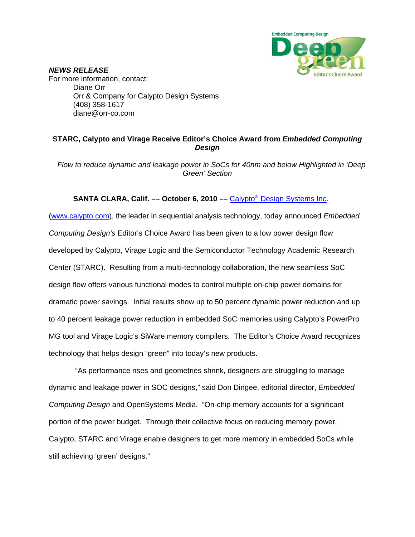

*NEWS RELEASE*  For more information, contact: Diane Orr Orr & Company for Calypto Design Systems (408) 358-1617 diane@orr-co.com

## **STARC, Calypto and Virage Receive Editor's Choice Award from** *Embedded Computing Design*

 *Flow to reduce dynamic and leakage power in SoCs for 40nm and below Highlighted in 'Deep Green' Section* 

# **SANTA CLARA, Calif. — October 6, 2010 — Calypto<sup>®</sup> Design Systems Inc.**

(www.calypto.com), the leader in sequential analysis technology, today announced *Embedded Computing Design's* Editor's Choice Award has been given to a low power design flow developed by Calypto, Virage Logic and the Semiconductor Technology Academic Research Center (STARC). Resulting from a multi-technology collaboration, the new seamless SoC design flow offers various functional modes to control multiple on-chip power domains for dramatic power savings. Initial results show up to 50 percent dynamic power reduction and up to 40 percent leakage power reduction in embedded SoC memories using Calypto's PowerPro MG tool and Virage Logic's SiWare memory compilers. The Editor's Choice Award recognizes technology that helps design "green" into today's new products.

 "As performance rises and geometries shrink, designers are struggling to manage dynamic and leakage power in SOC designs," said Don Dingee, editorial director, *Embedded Computing Design* and OpenSystems Media. "On-chip memory accounts for a significant portion of the power budget. Through their collective focus on reducing memory power, Calypto, STARC and Virage enable designers to get more memory in embedded SoCs while still achieving 'green' designs."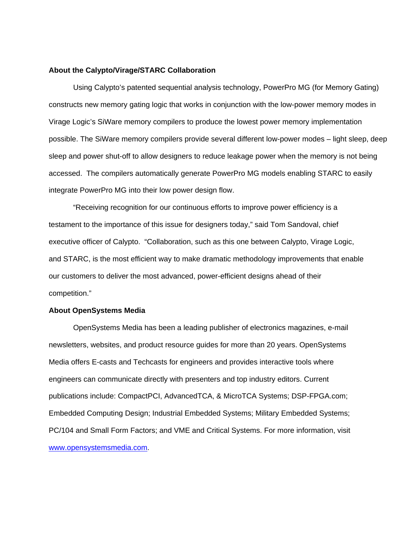#### **About the Calypto/Virage/STARC Collaboration**

Using Calypto's patented sequential analysis technology, PowerPro MG (for Memory Gating) constructs new memory gating logic that works in conjunction with the low-power memory modes in Virage Logic's SiWare memory compilers to produce the lowest power memory implementation possible. The SiWare memory compilers provide several different low-power modes – light sleep, deep sleep and power shut-off to allow designers to reduce leakage power when the memory is not being accessed. The compilers automatically generate PowerPro MG models enabling STARC to easily integrate PowerPro MG into their low power design flow.

"Receiving recognition for our continuous efforts to improve power efficiency is a testament to the importance of this issue for designers today," said Tom Sandoval, chief executive officer of Calypto. "Collaboration, such as this one between Calypto, Virage Logic, and STARC, is the most efficient way to make dramatic methodology improvements that enable our customers to deliver the most advanced, power-efficient designs ahead of their competition."

### **About OpenSystems Media**

 OpenSystems Media has been a leading publisher of electronics magazines, e-mail newsletters, websites, and product resource guides for more than 20 years. OpenSystems Media offers E-casts and Techcasts for engineers and provides interactive tools where engineers can communicate directly with presenters and top industry editors. Current publications include: CompactPCI, AdvancedTCA, & MicroTCA Systems; DSP-FPGA.com; Embedded Computing Design; Industrial Embedded Systems; Military Embedded Systems; PC/104 and Small Form Factors; and VME and Critical Systems. For more information, visit www.opensystemsmedia.com.